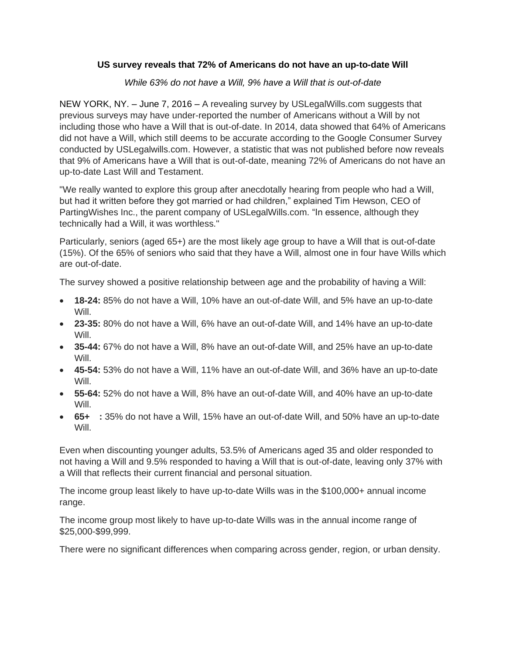# **US survey reveals that 72% of Americans do not have an up-to-date Will**

## *While 63% do not have a Will, 9% have a Will that is out-of-date*

NEW YORK, NY. – June 7, 2016 – A revealing survey by USLegalWills.com suggests that previous surveys may have under-reported the number of Americans without a Will by not including those who have a Will that is out-of-date. In 2014, data showed that 64% of Americans did not have a Will, which still deems to be accurate according to the Google Consumer Survey conducted by USLegalwills.com. However, a statistic that was not published before now reveals that 9% of Americans have a Will that is out-of-date, meaning 72% of Americans do not have an up-to-date Last Will and Testament.

"We really wanted to explore this group after anecdotally hearing from people who had a Will, but had it written before they got married or had children," explained Tim Hewson, CEO of PartingWishes Inc., the parent company of USLegalWills.com. "In essence, although they technically had a Will, it was worthless."

Particularly, seniors (aged 65+) are the most likely age group to have a Will that is out-of-date (15%). Of the 65% of seniors who said that they have a Will, almost one in four have Wills which are out-of-date.

The survey showed a positive relationship between age and the probability of having a Will:

- **18-24:** 85% do not have a Will, 10% have an out-of-date Will, and 5% have an up-to-date Will.
- **23-35:** 80% do not have a Will, 6% have an out-of-date Will, and 14% have an up-to-date Will.
- **35-44:** 67% do not have a Will, 8% have an out-of-date Will, and 25% have an up-to-date Will.
- **45-54:** 53% do not have a Will, 11% have an out-of-date Will, and 36% have an up-to-date Will.
- **55-64:** 52% do not have a Will, 8% have an out-of-date Will, and 40% have an up-to-date Will.
- **65+ :** 35% do not have a Will, 15% have an out-of-date Will, and 50% have an up-to-date Will.

Even when discounting younger adults, 53.5% of Americans aged 35 and older responded to not having a Will and 9.5% responded to having a Will that is out-of-date, leaving only 37% with a Will that reflects their current financial and personal situation.

The income group least likely to have up-to-date Wills was in the \$100,000+ annual income range.

The income group most likely to have up-to-date Wills was in the annual income range of \$25,000-\$99,999.

There were no significant differences when comparing across gender, region, or urban density.